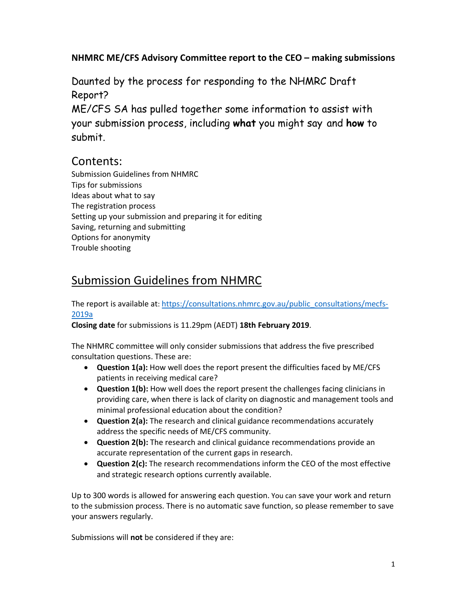## **NHMRC ME/CFS Advisory Committee report to the CEO – making submissions**

Daunted by the process for responding to the NHMRC Draft Report?

ME/CFS SA has pulled together some information to assist with your submission process, including **what** you might say and **how** to submit.

## Contents:

Submission Guidelines from NHMRC Tips for submissions Ideas about what to say The registration process Setting up your submission and preparing it for editing Saving, returning and submitting Options for anonymity Trouble shooting

## Submission Guidelines from NHMRC

The report is available at: https://consultations.nhmrc.gov.au/public\_consultations/mecfs-2019a

**Closing date** for submissions is 11.29pm (AEDT) **18th February 2019**.

The NHMRC committee will only consider submissions that address the five prescribed consultation questions. These are:

- **Question 1(a):** How well does the report present the difficulties faced by ME/CFS patients in receiving medical care?
- **Question 1(b):** How well does the report present the challenges facing clinicians in providing care, when there is lack of clarity on diagnostic and management tools and minimal professional education about the condition?
- **Question 2(a):** The research and clinical guidance recommendations accurately address the specific needs of ME/CFS community.
- **Question 2(b):** The research and clinical guidance recommendations provide an accurate representation of the current gaps in research.
- **Question 2(c):** The research recommendations inform the CEO of the most effective and strategic research options currently available.

Up to 300 words is allowed for answering each question. You can save your work and return to the submission process. There is no automatic save function, so please remember to save your answers regularly.

Submissions will **not** be considered if they are: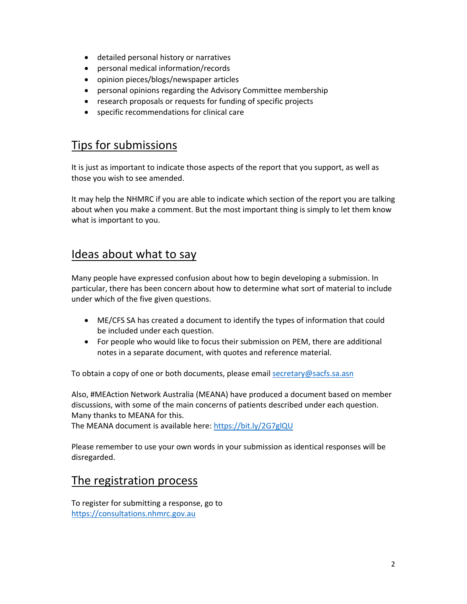- detailed personal history or narratives
- personal medical information/records
- opinion pieces/blogs/newspaper articles
- personal opinions regarding the Advisory Committee membership
- research proposals or requests for funding of specific projects
- specific recommendations for clinical care

## Tips for submissions

It is just as important to indicate those aspects of the report that you support, as well as those you wish to see amended.

It may help the NHMRC if you are able to indicate which section of the report you are talking about when you make a comment. But the most important thing is simply to let them know what is important to you.

## Ideas about what to say

Many people have expressed confusion about how to begin developing a submission. In particular, there has been concern about how to determine what sort of material to include under which of the five given questions.

- ME/CFS SA has created a document to identify the types of information that could be included under each question.
- For people who would like to focus their submission on PEM, there are additional notes in a separate document, with quotes and reference material.

To obtain a copy of one or both documents, please email secretary@sacfs.sa.asn

Also, #MEAction Network Australia (MEANA) have produced a document based on member discussions, with some of the main concerns of patients described under each question. Many thanks to MEANA for this.

The MEANA document is available here: https://bit.ly/2G7glQU

Please remember to use your own words in your submission as identical responses will be disregarded.

## The registration process

To register for submitting a response, go to https://consultations.nhmrc.gov.au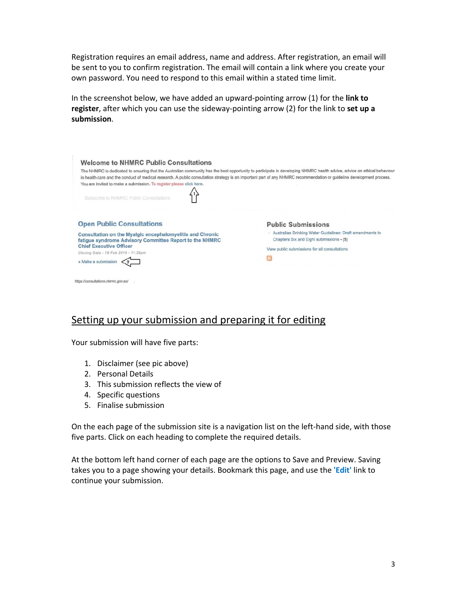Registration requires an email address, name and address. After registration, an email will be sent to you to confirm registration. The email will contain a link where you create your own password. You need to respond to this email within a stated time limit.

In the screenshot below, we have added an upward‐pointing arrow (1) for the **link to register**, after which you can use the sideway‐pointing arrow (2) for the link to **set up a submission**.

| The NHMRC is dedicated to ensuring that the Australian community has the best opportunity to participate in developing NHMRC health advice, advice on ethical behaviour<br>in health care and the conduct of medical research. A public consultation strategy is an important part of any NHMRC recommendation or guideline development process. |                                                                                                       |
|--------------------------------------------------------------------------------------------------------------------------------------------------------------------------------------------------------------------------------------------------------------------------------------------------------------------------------------------------|-------------------------------------------------------------------------------------------------------|
| You are invited to make a submission. To register please click here.                                                                                                                                                                                                                                                                             |                                                                                                       |
| Subscribe to NHMRC Public Consultations                                                                                                                                                                                                                                                                                                          |                                                                                                       |
| <b>Open Public Consultations</b>                                                                                                                                                                                                                                                                                                                 | <b>Public Submissions</b>                                                                             |
| Consultation on the Myalgic encephalomyelitis and Chronic<br>fatigue syndrome Advisory Committee Report to the NHMRC                                                                                                                                                                                                                             | Australian Drinking Water Guidelines: Draft amendments to<br>Chapters Six and Eight submissions - (5) |
| <b>Chief Executive Officer</b><br>Closing Date - 18 Feb 2019 - 11:29pm                                                                                                                                                                                                                                                                           | View public submissions for all consultations                                                         |
|                                                                                                                                                                                                                                                                                                                                                  |                                                                                                       |

## Setting up your submission and preparing it for editing

Your submission will have five parts:

- 1. Disclaimer (see pic above)
- 2. Personal Details
- 3. This submission reflects the view of
- 4. Specific questions
- 5. Finalise submission

On the each page of the submission site is a navigation list on the left-hand side, with those five parts. Click on each heading to complete the required details.

At the bottom left hand corner of each page are the options to Save and Preview. Saving takes you to a page showing your details. Bookmark this page, and use the **'Edit'** link to continue your submission.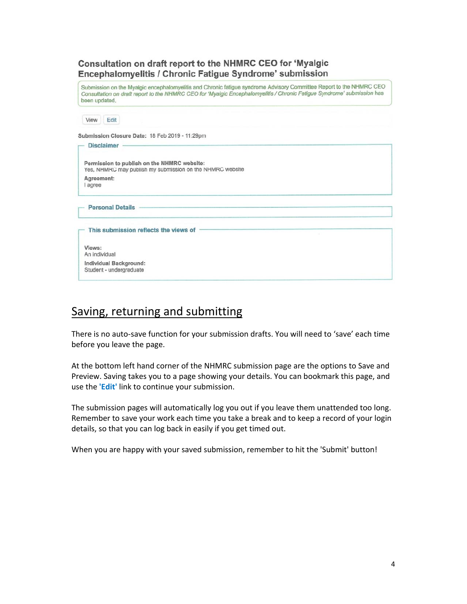## Consultation on draft report to the NHMRC CEO for 'Myalgic Encephalomyelitis / Chronic Fatigue Syndrome' submission

Submission on the Myalgic encephalomyelitis and Chronic fatigue syndrome Advisory Committee Report to the NHMRC CEO Consultation on draft report to the NHMRC CEO for 'Myalgic Encephalomyelitis / Chronic Fatigue Syndrome' submission has been updated.

| View<br>Edit                                      |                                                                                                          |  |
|---------------------------------------------------|----------------------------------------------------------------------------------------------------------|--|
|                                                   | Submission Closure Date: 18 Feb 2019 - 11:29pm                                                           |  |
| <b>Disclaimer</b>                                 |                                                                                                          |  |
|                                                   | Permission to publish on the NHMRC website:<br>Yes, NHMRC may publish my submission on the NHMRC website |  |
| Agreement:<br>l agree                             |                                                                                                          |  |
| <b>Personal Details</b>                           |                                                                                                          |  |
| This submission reflects the views of             |                                                                                                          |  |
| Views:<br>An individual                           |                                                                                                          |  |
| Individual Background:<br>Student - undergraduate |                                                                                                          |  |

# Saving, returning and submitting

There is no auto‐save function for your submission drafts. You will need to 'save' each time before you leave the page.

At the bottom left hand corner of the NHMRC submission page are the options to Save and Preview. Saving takes you to a page showing your details. You can bookmark this page, and use the **'Edit'** link to continue your submission.

The submission pages will automatically log you out if you leave them unattended too long. Remember to save your work each time you take a break and to keep a record of your login details, so that you can log back in easily if you get timed out.

When you are happy with your saved submission, remember to hit the 'Submit' button!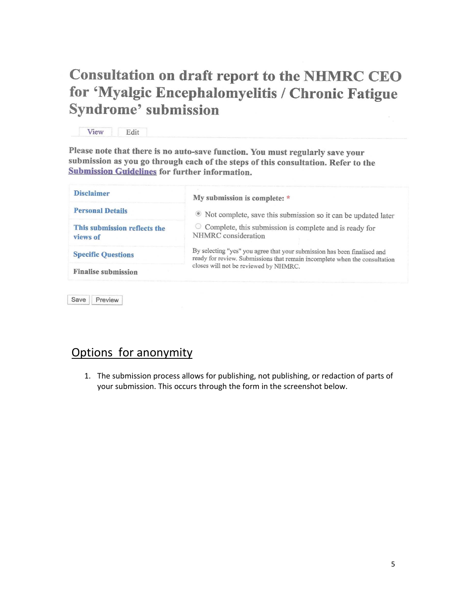# **Consultation on draft report to the NHMRC CEO** for 'Myalgic Encephalomyelitis / Chronic Fatigue **Syndrome' submission**

View Edit

Please note that there is no auto-save function. You must regularly save your submission as you go through each of the steps of this consultation. Refer to the **Submission Guidelines for further information.** 

| <b>Disclaimer</b>                        | My submission is complete: *                                                                                                                           |  |
|------------------------------------------|--------------------------------------------------------------------------------------------------------------------------------------------------------|--|
| <b>Personal Details</b>                  | • Not complete, save this submission so it can be updated later                                                                                        |  |
| This submission reflects the<br>views of | $\circ$ Complete, this submission is complete and is ready for<br>NHMRC consideration                                                                  |  |
| <b>Specific Questions</b>                | By selecting "yes" you agree that your submission has been finalised and<br>ready for review. Submissions that remain incomplete when the consultation |  |
| <b>Finalise submission</b>               | closes will not be reviewed by NHMRC.                                                                                                                  |  |

Save Preview

# Options for anonymity

1. The submission process allows for publishing, not publishing, or redaction of parts of your submission. This occurs through the form in the screenshot below.